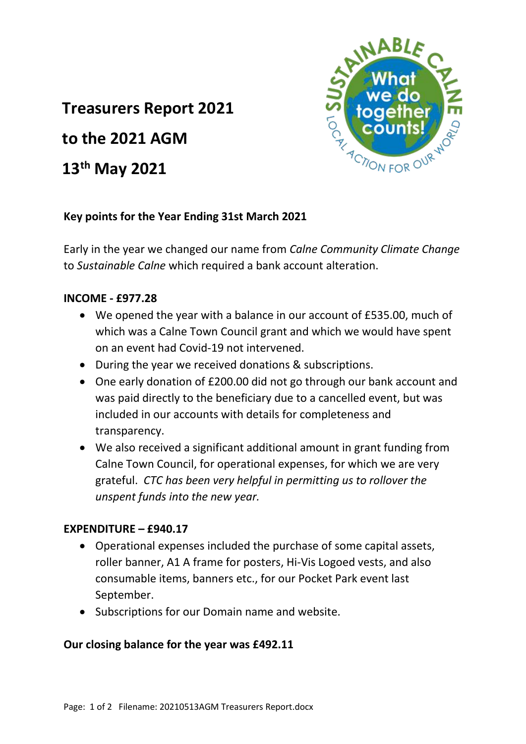# **Treasurers Report 2021**

**to the 2021 AGM**

## **13th May 2021**



### **Key points for the Year Ending 31st March 2021**

Early in the year we changed our name from *Calne Community Climate Change* to *Sustainable Calne* which required a bank account alteration.

#### **INCOME - £977.28**

- We opened the year with a balance in our account of £535.00, much of which was a Calne Town Council grant and which we would have spent on an event had Covid-19 not intervened.
- During the year we received donations & subscriptions.
- One early donation of £200.00 did not go through our bank account and was paid directly to the beneficiary due to a cancelled event, but was included in our accounts with details for completeness and transparency.
- We also received a significant additional amount in grant funding from Calne Town Council, for operational expenses, for which we are very grateful. *CTC has been very helpful in permitting us to rollover the unspent funds into the new year.*

#### **EXPENDITURE – £940.17**

- Operational expenses included the purchase of some capital assets, roller banner, A1 A frame for posters, Hi-Vis Logoed vests, and also consumable items, banners etc., for our Pocket Park event last September.
- Subscriptions for our Domain name and website.

#### **Our closing balance for the year was £492.11**